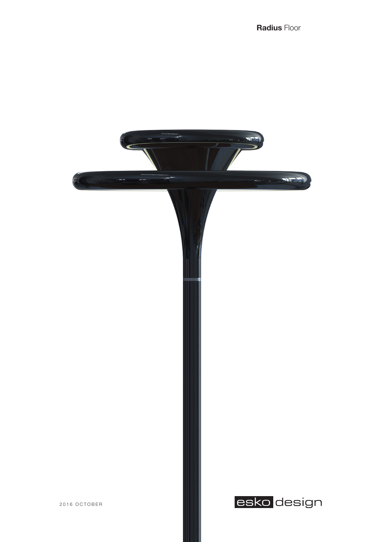